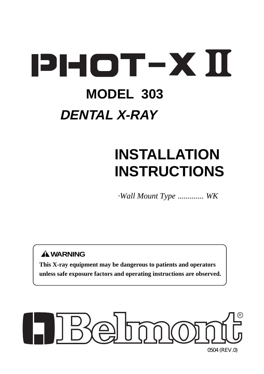# **PHOT-XII**

# **MODEL 303 DENTAL X-RAY**

# **INSTALLATION INSTRUCTIONS**

*·Wall Mount Type ............. WK*

# **WARNING**

**This X-ray equipment may be dangerous to patients and operators unless safe exposure factors and operating instructions are observed.**

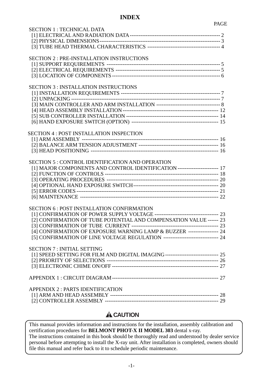# **INDEX**

| <b>SECTION 1: TECHNICAL DATA</b>                                                    |  |
|-------------------------------------------------------------------------------------|--|
|                                                                                     |  |
|                                                                                     |  |
|                                                                                     |  |
|                                                                                     |  |
| <b>SECTION 2: PRE-INSTALLATION INSTRUCTIONS</b>                                     |  |
|                                                                                     |  |
|                                                                                     |  |
|                                                                                     |  |
|                                                                                     |  |
|                                                                                     |  |
| <b>SECTION 3: INSTALLATION INSTRUCTIONS</b>                                         |  |
|                                                                                     |  |
|                                                                                     |  |
|                                                                                     |  |
|                                                                                     |  |
|                                                                                     |  |
|                                                                                     |  |
|                                                                                     |  |
| <b>SECTION 4 : POST INSTALLATION INSPECTION</b>                                     |  |
|                                                                                     |  |
|                                                                                     |  |
|                                                                                     |  |
|                                                                                     |  |
|                                                                                     |  |
| <b>SECTION 5: CONTROL IDENTIFICATION AND OPERATION</b>                              |  |
| [1] MAJOR COMPONENTS AND CONTROL IDENTIFICATION ----------------------- 17          |  |
|                                                                                     |  |
|                                                                                     |  |
|                                                                                     |  |
|                                                                                     |  |
|                                                                                     |  |
|                                                                                     |  |
| <b>SECTION 6 : POST INSTALLATION CONFIRMATION</b>                                   |  |
|                                                                                     |  |
| [2] CONFIRMATION OF TUBE POTENTIAL AND COMPENSATION VALUE ------ 23                 |  |
|                                                                                     |  |
|                                                                                     |  |
| [4] CONFIRMATION OF EXPOSURE WARNING LAMP & BUZZER ----------------- 24             |  |
| [5] CONFIRMATION OF LINE VOLTAGE REGULATION ------------------------------- 24      |  |
|                                                                                     |  |
| <b>SECTION 7: INITIAL SETTING</b>                                                   |  |
| [1] SPEED SETTING FOR FILM AND DIGITAL IMAGING --------------------------------- 25 |  |
|                                                                                     |  |
|                                                                                     |  |
|                                                                                     |  |
|                                                                                     |  |
|                                                                                     |  |
| <b>APPENDIX 2: PARTS IDENTIFICATION</b>                                             |  |
|                                                                                     |  |
|                                                                                     |  |
|                                                                                     |  |

# **A**CAUTION

 This manual provides information and instructions for the installation, assembly calibration and certification procedures for **BELMONT PHOT-X II MODEL 303** dental x-ray. The instructions contained in this book should be thoroughly read and understood by dealer service personal before attempting to install the X-ray unit. After installation is completed, owners should file this manual and refer back to it to schedule periodic maintenance.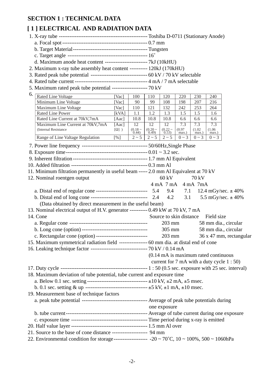# **SECTION 1 : TECHNICAL DATA**

# **[ 1 ] ELECTRICAL AND RADIATION DATA**

| $\mathbf{1}$ , belocated the numerical binds                                                                |               |                 |                                      |                     |                         |                    |                                                 |                                             |  |  |  |
|-------------------------------------------------------------------------------------------------------------|---------------|-----------------|--------------------------------------|---------------------|-------------------------|--------------------|-------------------------------------------------|---------------------------------------------|--|--|--|
|                                                                                                             |               |                 |                                      |                     |                         |                    |                                                 |                                             |  |  |  |
|                                                                                                             |               |                 |                                      |                     |                         |                    |                                                 |                                             |  |  |  |
|                                                                                                             |               |                 |                                      |                     |                         |                    |                                                 |                                             |  |  |  |
|                                                                                                             |               |                 |                                      |                     |                         |                    |                                                 |                                             |  |  |  |
| d. Maximum anode heat content ------------------------- 7kJ (10kHU)                                         |               |                 |                                      |                     |                         |                    |                                                 |                                             |  |  |  |
| 2. Maximum x-ray tube assembly heat content ---------- 120kJ (170kHU)                                       |               |                 |                                      |                     |                         |                    |                                                 |                                             |  |  |  |
| 3. Rated peak tube potential -------------------------------- 60 kV / 70 kV selectable                      |               |                 |                                      |                     |                         |                    |                                                 |                                             |  |  |  |
|                                                                                                             |               |                 |                                      |                     |                         |                    |                                                 |                                             |  |  |  |
| 5. Maximum rated peak tube potential ------------------- 70 kV                                              |               |                 |                                      |                     |                         |                    |                                                 |                                             |  |  |  |
| 6.<br><b>Rated Line Voltage</b>                                                                             | [Vac]         | 100             | 110                                  | 120                 | 220                     | 230                | 240                                             |                                             |  |  |  |
| Minimum Line Voltage                                                                                        | [Vac]         | 90              | 99                                   | 108                 | 198                     | 207                | 216                                             |                                             |  |  |  |
| Maximum Line Voltage                                                                                        | [Vac]         | 110             | 121                                  | 132                 | 242                     | 253                | 264                                             |                                             |  |  |  |
| Rated Line Power                                                                                            | [kVA]         | 1.1             | 1.2                                  | 1.3                 | 1.5                     | 1.5                | 1.6                                             |                                             |  |  |  |
| Rated Line Current at 70kV,7mA                                                                              | [Aac]         | 10.8            | 10.8                                 | 10.8                | 6.6                     | 6.6                | 6.6                                             |                                             |  |  |  |
| Maximum Line Current at 70kV,7mA                                                                            | $[{\rm Aac}]$ | $\overline{12}$ | $\overline{12}$                      | $\overline{12}$     | 7.3                     | 7.3                | 7.3                                             |                                             |  |  |  |
| (Internal Resistance                                                                                        | $[\Omega]$ )  | $(0.18 - 0.44)$ | $(0.20 - 0.49)$                      | $(0.22 - 0.53)$     | (0.97)<br>max.)         | (1.02)<br>max.)    | (1.06)<br>max.)                                 |                                             |  |  |  |
| Range of Line Valtage Regulation                                                                            | [%]           | $2 \sim 5$      | $2 \sim 5$                           | $2 \sim 5$          | $0 \sim 3$              | $0 \sim 3$         | $0 \sim 3$                                      |                                             |  |  |  |
|                                                                                                             |               |                 |                                      |                     |                         |                    |                                                 |                                             |  |  |  |
|                                                                                                             |               |                 |                                      |                     |                         |                    |                                                 |                                             |  |  |  |
|                                                                                                             |               |                 |                                      |                     |                         |                    |                                                 |                                             |  |  |  |
|                                                                                                             |               |                 |                                      |                     |                         |                    |                                                 |                                             |  |  |  |
| 11. Minimum filtration permanently in useful beam ----- 2.0 mm Al Equivalent at 70 kV                       |               |                 |                                      |                     |                         |                    |                                                 |                                             |  |  |  |
| 12. Nominal roentgen output                                                                                 |               |                 |                                      | $60 \text{ kV}$     |                         | 70 kV              |                                                 |                                             |  |  |  |
|                                                                                                             |               |                 |                                      | $4 \text{ mA}$ 7 mA |                         | $4 \text{ mA}$ 7mA |                                                 |                                             |  |  |  |
| a. Distal end of regular cone ------------------------------ 5.4                                            |               |                 |                                      |                     | 9.4 7.1                 |                    |                                                 | 12.4 mGy/sec. $\pm$ 40%                     |  |  |  |
| b. Distal end of long cone ----------------------------------- 2.4                                          |               |                 | 4.2<br>3.1<br>5.5 mGy/sec. $\pm$ 40% |                     |                         |                    |                                                 |                                             |  |  |  |
| (Data obtained by direct measurement in the useful beam)                                                    |               |                 |                                      |                     |                         |                    |                                                 |                                             |  |  |  |
|                                                                                                             |               |                 |                                      |                     |                         |                    |                                                 |                                             |  |  |  |
| 13. Nominal electrical output of H.V. generator ---------- 0.49 kW at 70 kV, 7 mA                           |               |                 |                                      |                     |                         |                    |                                                 |                                             |  |  |  |
| 14. Cone                                                                                                    |               |                 |                                      |                     | Source to skin distance |                    | Field size                                      |                                             |  |  |  |
|                                                                                                             |               |                 |                                      | $203$ mm            |                         |                    |                                                 | 58 mm dia., circular                        |  |  |  |
|                                                                                                             |               |                 |                                      |                     | $305 \text{ mm}$        |                    |                                                 | 58 mm dia., circular                        |  |  |  |
| c. Rectangular cone (option) -----------------------------                                                  |               |                 |                                      | $203$ mm            |                         |                    |                                                 | 36 x 47 mm, rectangular                     |  |  |  |
| 15. Maximum symmetrical radiation field ---------------- 60 mm dia. at distal end of cone                   |               |                 |                                      |                     |                         |                    |                                                 |                                             |  |  |  |
| 16. Leaking technique factor --------------------------------- 70 kV / 0.14 mA                              |               |                 |                                      |                     |                         |                    |                                                 |                                             |  |  |  |
|                                                                                                             |               |                 |                                      |                     |                         |                    | $(0.14 \text{ mA})$ is maximum rated continuous |                                             |  |  |  |
|                                                                                                             |               |                 |                                      |                     |                         |                    |                                                 | current for 7 mA with a duty cycle $1:50$ ) |  |  |  |
|                                                                                                             |               |                 |                                      |                     |                         |                    |                                                 |                                             |  |  |  |
| 18. Maximum deviation of tube potential, tube current and exposure time                                     |               |                 |                                      |                     |                         |                    |                                                 |                                             |  |  |  |
|                                                                                                             |               |                 |                                      |                     |                         |                    |                                                 |                                             |  |  |  |
|                                                                                                             |               |                 |                                      |                     |                         |                    |                                                 |                                             |  |  |  |
| 19. Measurement base of technique factors                                                                   |               |                 |                                      |                     |                         |                    |                                                 |                                             |  |  |  |
|                                                                                                             |               |                 |                                      |                     |                         |                    |                                                 |                                             |  |  |  |
|                                                                                                             |               |                 | one exposure                         |                     |                         |                    |                                                 |                                             |  |  |  |
|                                                                                                             |               |                 |                                      |                     |                         |                    |                                                 |                                             |  |  |  |
|                                                                                                             |               |                 |                                      |                     |                         |                    |                                                 |                                             |  |  |  |
|                                                                                                             |               |                 |                                      |                     |                         |                    |                                                 |                                             |  |  |  |
|                                                                                                             |               |                 |                                      |                     |                         |                    |                                                 |                                             |  |  |  |
| 21. Source to the base of cone distance ------------------- 94 mm                                           |               |                 |                                      |                     |                         |                    |                                                 |                                             |  |  |  |
| 22. Environmental condition for storage------------------ -20 ~ 70°C, $10 \sim 100\%$ , $500 \sim 1060$ hPa |               |                 |                                      |                     |                         |                    |                                                 |                                             |  |  |  |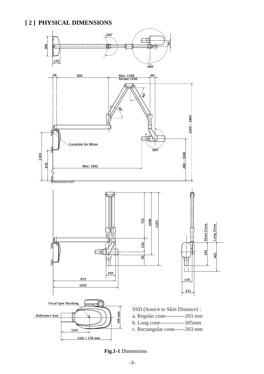# **[ 2 ] PHYSICAL DIMENSIONS**



**Fig.1-1** Dimensions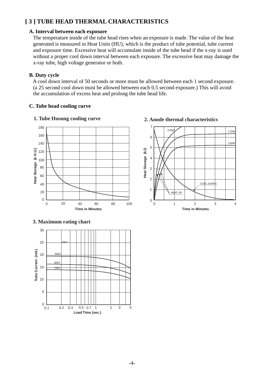# **[ 3 ] TUBE HEAD THERMAL CHARACTERISTICS**

#### **A. Interval between each exposure**

 The temperature inside of the tube head rises when an exposure is made. The value of the heat generated is measured in Heat Units (HU), which is the product of tube potential, tube current and exposure time. Excessive heat will accumulate inside of the tube head if the x-ray is used without a proper cool down interval between each exposure. The excessive heat may damage the x-ray tube, high voltage generator or both.

#### **B. Duty cycle**

 A cool down interval of 50 seconds or more must be allowed between each 1 second exposure. (a 25 second cool down must be allowed between each 0.5 second exposure.) This will avoid the accumulation of excess heat and prolong the tube head life.

#### **C. Tube head cooling curve**





# **3. Maximum rating chart**





#### **1. Tube Hosung cooling curve 2. Anode thermal characteristics**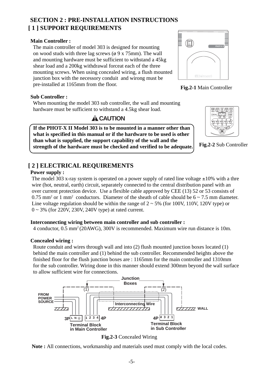# **[ 1 ] SUPPORT REQUIREMENTS SECTION 2 : PRE-INSTALLATION INSTRUCTIONS**

# **Main Controller :**

 The main controller of model 303 is designed for mounting on wood studs with three lag screws ( $\phi$  9 x 75mm). The wall and mounting hardware must be sufficient to withstand a 45kg shear load and a 200kg withdrawal forceat each of the three mounting screws. When using concealed wiring, a flush mounted junction box with the necessory conduit and wirong must be pre-installed at 1165mm from the floor.

# **Sub Controller :**

 When mounting the model 303 sub controller, the wall and mounting hardware must be sufficient to withstand a 4.5kg shear load.

# **A** CAUTION

 **If the PHOT-X II Model 303 is to be mounted in a manner other than what is specified in this manual or if the hardware to be used is other than what is supplied, the support capability of the wall and the strength of the hardware must be checked and verified to be adequate.**

# **MUNITE** İ **- <sup>O</sup> PHOT-X IILIBelmont**





**Fig.2-2** Sub Controller

# **[ 2 ] ELECTRICAL REQUIREMENTS**

# **Power supply :**

The model 303 x-ray system is operated on a power supply of rated line voltage  $\pm 10\%$  with a thre wire (hot, neutral, earth) circuit, separately connected to the central distribution panel with an over current protection device. Use a flexible cable approved by CEE (13) 52 or 53 consists of  $0.75$  mm<sup>2</sup> or 1 mm<sup>2</sup> conductors. Diameter of the sheath of cable should be  $6 \sim 7.5$  mm diameter. Line voltage regulation should be within the range of  $2 \sim 5\%$  (for 100V, 110V, 120V type) or 0 ~ 3% (for 220V, 230V, 240V type) at rated current.

# **Interconnecting wiring between main controller and sub controller :**

4 conductor, 0.5 mm2 (20AWG), 300V is recommended. Maximum wire run distance is 10m.

# **Concealed wiring :**

 Route conduit and wires through wall and into (2) flush mounted junction boxes located (1) behind the main controller and (1) behind the sub controller. Recommended heights above the finished floor for the flush junction boxes are : 1165mm for the main controller and 1310mm for the sub controller. Wiring done in this manner should extend 300mm beyond the wall surface to allow sufficient wire for connections.





**Note :** All connections, workmanship and materials used must comply with the local codes.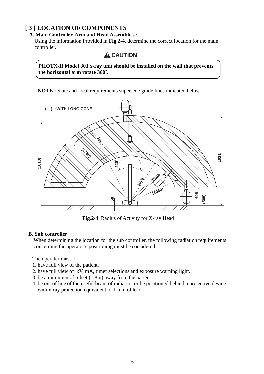# **[ 3 ] LOCATION OF COMPONENTS**

# **A. Main Controller, Arm and Head Assemblies :**

 Using the information Provided in **Fig.2-4,** determine the correct location for the main controller.

**A** CAUTION

 **PHOTX-II Model 303 x-ray unit should be installed on the wall that prevents the horizontal arm rotate 360˚.**

**NOTE :** State and local requirements supersede guide lines indicated below.



# **B. Sub controller**

When determining the location for the sub controller, the following radiation requirements concerning the operator's positioning must be considered.

The operater must :

- 1. have full view of the patient.
- 2. have full view of kV, mA, timer selections and exposure warning light.
- 3. be a minimum of 6 feet (1.8m) away from the patient.
- 4. be out of line of the useful beam of radiation or be positioned behind a protective device with x-ray protection equivalent of 1 mm of lead.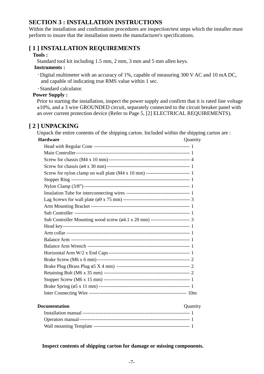# **SECTION 3 : INSTALLATION INSTRUCTIONS**

Within the installation and confirmation procedures are inspection/test steps which the installer must perform to insure that the installation meets the manufacturer's specifications.

# **[ 1 ] INSTALLATION REQUIREMENTS**

#### **Tools :**

Standard tool kit including 1.5 mm, 2 mm, 3 mm and 5 mm allen keys.

#### **Instruments :**

- Digital multimeter with an accuracy of 1%, capable of measuring 300 V AC and 10 mA DC, and capable of indicating true RMS value within 1 sec.
- Standard calculator.

# **Power Supply :**

 Prior to starting the installation, inspect the power supply and confirm that it is rated line voltage ±10%, and a 3 wire GROUNDED circuit, separately connected to the circuit breaker panel with an over current protection device (Refer to Page 5, [2] ELECTRICAL REQUIREMENTS).

# **[ 2 ] UNPACKING**

Unpack the entire contents of the shipping carton. Included within the shipping carton are :

# **Hardware** Quantity Head with Regular Cone ----------------------------------------------------------- 1 Main Controller---------------------------------------------------------------------- 1 Screw for chassis (M4 x 10 mm)-------------------------------------------------- 4 Screw for chassis (ø4 x 30 mm) --------------------------------------------------- 1 Screw for nylon clamp on wall plate (M4 x 10 mm) --------------------------- 1 Stopper Ring ------------------------------------------------------------------------- 1 Nylon Clamp (3/8") ----------------------------------------------------------------- 1 Insulation Tube for interconnecting wires --------------------------------------- 1 Lag Screws for wall plate (ø9 x 75 mm) ----------------------------------------- 3 Arm Mounting Bracket ------------------------------------------------------------- 1 Sub Controller ----------------------------------------------------------------------- 1 Sub Controller Mounting wood screw (ø4.1 x 20 mm) ------------------------ 3 Head key------------------------------------------------------------------------------ 1 Arm collar ---------------------------------------------------------------------------- 1 Balance Arm ------------------------------------------------------------------------- 1 Balance Arm Wrench --------------------------------------------------------------- 1 Horizontal Arm W/2 x End Caps-------------------------------------------------- 1 Brake Screw (M6 x 6 mm) --------------------------------------------------------- 2 Brake Plug (Brass Plug ø5 X 4 mm) --------------------------------------------- 2 Retaining Bolt (M6 x 35 mm) ----------------------------------------------------- 2 Stopper Screw (M6 x 15 mm) ----------------------------------------------------- 1 Brake Spring (ø5 x 11 mm) -------------------------------------------------------- 1 Inter Connecting Wire ------------------------------------------------------------ 10m

#### **Documentation** Quantity

#### **Inspect contents of shipping carton for damage or missing components.**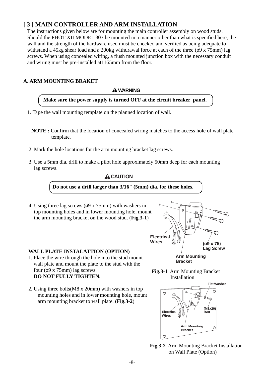# **[ 3 ] MAIN CONTROLLER AND ARM INSTALLATION**

 The instructions given below are for mounting the main controller assembly on wood studs. Should the PHOT-XII MODEL 303 be mounted in a manner other than what is specified here, the wall and the strength of the hardware used must be checked and verified as being adequate to withstand a 45kg shear load and a 200kg withdrawal force at each of the three ( $\varphi$ 9 x 75mm) lag screws. When using concealed wiring, a flush mounted junction box with the necessary conduit and wiring must be pre-installed at1165mm from the floor.

# **A. ARM MOUNTING BRAKET**

#### **WARNING**

# **Make sure the power supply is turned OFF at the circuit breaker panel.**

- 1. Tape the wall mounting template on the planned location of wall.
	- **NOTE :** Confirm that the location of concealed wiring matches to the access hole of wall plate template.
- 2. Mark the hole locations for the arm mounting bracket lag screws.
- 3. Use a 5mm dia. drill to make a pilot hole approximately 50mm deep for each mounting lag screws.

# **A** CAUTION

**Do not use a drill larger than 3/16" (5mm) dia. for these holes.**

 4. Using three lag screws (ø9 x 75mm) with washers in top mounting holes and in lower mounting hole, mount the arm mounting bracket on the wood stud. (**Fig.3-1**)

# **WALL PLATE INSTALATTION (OPTION)**

- 1. Place the wire through the hole into the stud mount wall plate and mount the plate to the stud with the four (ø9 x 75mm) lag screws. **DO NOT FULLY TIGHTEN.**
- 2. Using three bolts(M8 x 20mm) with washers in top mounting holes and in lower mounting hole, mount arm mounting bracket to wall plate. (**Fig.3-2**)



**Fig.3-1** Arm Mounting Bracket Installation



**Fig.3-2** Arm Mounting Bracket Installation on Wall Plate (Option)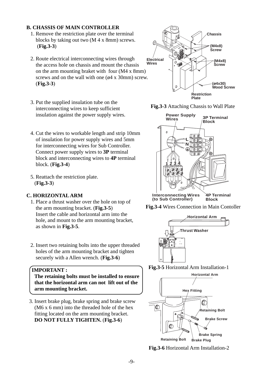#### **B. CHASSIS OF MAIN CONTROLLER**

- 1. Remove the restriction plate over the terminal blocks by taking out two (M 4 x 8mm) screws. (**Fig.3-3**)
- 2. Route electrical interconnecting wires through the access hole on chassis and mount the chassis on the arm mounting braket with four (M4 x 8mm) screws and on the wall with one  $(64 \times 30 \text{mm})$  screw. (**Fig.3-3**)
- 3. Put the supplied insulation tube on the interconnecting wires to keep sufficient insulation against the power supply wires.
- 4. Cut the wires to workable length and strip 10mm of insulation for power supply wires and 5mm for interconnecting wires for Sub Controller. Connect power supply wires to **3P** terminal block and interconnecting wires to **4P** terminal block. (**Fig.3-4**)
- 5. Reattach the restriction plate. (**Fig.3-3**)

# **C. HORIZONTAL ARM**

- 1. Place a thrust washer over the hole on top of the arm mounting bracket. (**Fig.3-5**) Insert the cable and horizontal arm into the hole, and mount to the arm mounting bracket, as shown in **Fig.3-5**.
- 2. Insert two retaining bolts into the upper threaded holes of the arm mounting bracket and tighten securely with a Allen wrench. (**Fig.3-6**)

#### **IMPORTANT :**

 **The retaining bolts must be installed to ensure that the horizontal arm can not lift out of the arm mounting bracket.**

 3. Insert brake plug, brake spring and brake screw (M6 x 6 mm) into the threaded hole of the hex fitting located on the arm mounting bracket.  **DO NOT FULLY TIGHTEN.** (**Fig.3-6**)



**Fig.3-3** Attaching Chassis to Wall Plate



**Block Interconnecting Wires (to Sub Controller)**





**Fig.3-5** Horizontal Arm Installation-1



**Fig.3-6** Horizontal Arm Installation-2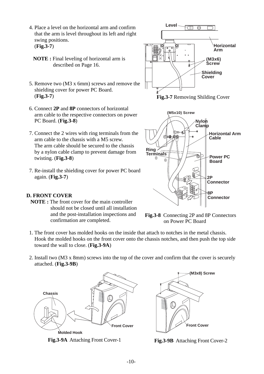- 4. Place a level on the horizontal arm and confirm that the arm is level throughout its left and right swing positions. (**Fig.3-7**)
	- **NOTE :** Final leveling of horizontal arm is described on Page 16.
- 5. Remove two (M3 x 6mm) screws and remove the shielding cover for power PC Board. (**Fig.3-7**)
- 6. Connect **2P** and **8P** connectors of horizontal arm cable to the respective connectors on power PC Board. (**Fig.3-8**)
- 7. Connect the 2 wires with ring terminals from the arm cable to the chassis with a M5 screw. The arm cable should be secured to the chassis by a nylon cable clamp to prevent damage from twisting. (**Fig.3-8**)
- 7. Re-install the shielding cover for power PC board again. (**Fig.3-7**)

# **D. FRONT COVER**

 **NOTE :** The front cover for the main controller should not be closed until all installation and the post-installation inspections and confirmation are completed.



**Fig.3-7** Removing Shilding Cover



**Fig.3-8** Connecting 2P and 8P Connectors on Power PC Board

- 1. The front cover has molded hooks on the inside that attach to notches in the metal chassis. Hook the molded hooks on the front cover onto the chassis notches, and then push the top side toward the wall to close. (**Fig.3-9A**)
- 2. Install two (M3 x 8mm) screws into the top of the cover and confirm that the cover is securely attached. (**Fig.3-9B**)



**Fig.3-9A** Attaching Front Cover-1 **Fig.3-9B** Attaching Front Cover-2

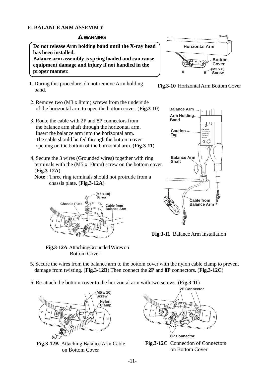# **E. BALANCE ARM ASSEMBLY**

# **WARNING**

 **Do not release Arm holding band until the X-ray head has been installed.**

 **Balance arm assembly is spring loaded and can cause equipment damage and injury if not handled in the proper manner.**

- 1. During this procedure, do not remove Arm holding band.
- 2. Remove two (M3 x 8mm) screws from the underside of the horizontal arm to open the bottom cover. (**Fig.3-10**)
- 3. Route the cable with 2P and 8P connectors from the balance arm shaft through the horizontal arm. Insert the balance arm into the horizontal arm. The cable should be fed through the bottom cover opening on the bottom of the horizontal arm. (**Fig.3-11**)
- 4. Secure the 3 wires (Grounded wires) together with ring terminals with the (M5 x 10mm) screw on the bottom cover. (**Fig.3-12A**)
	- **Note** : Three ring terminals should not protrude from a chassis plate. (**Fig.3-12A**)



**Fig.3-12A** AttachingGrounded Wires on Bottom Cover







**Fig.3-11** Balance Arm Installation

- 5. Secure the wires from the balance arm to the bottom cover with the nylon cable clamp to prevent damage from twisting. (**Fig.3-12B**) Then connect the **2P** and **8P** connectors. (**Fig.3-12C**)
- 6. Re-attach the bottom cover to the horizontal arm with two screws. (**Fig.3-11**)



**Fig.3-12B** Attaching Balance Arm Cable on Bottom Cover



**Fig.3-12C** Connection of Connectors on Bottom Cover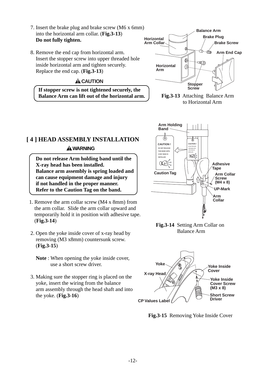- 7. Insert the brake plug and brake screw (M6 x 6mm) into the horizontal arm collar. (**Fig.3-13**) **Do not fully tighten.**
- 8. Remove the end cap from horizontal arm. Insert the stopper screw into upper threaded hole inside horizontal arm and tighten securely. Replace the end cap. (**Fig.3-13**)

# **A** CAUTION

 **If stopper screw is not tightened securely, the Balance Arm can lift out of the horizontal arm.**





# **[ 4 ] HEAD ASSEMBLY INSTALLATION WARNING**

 **Do not release Arm holding band until the X-ray head has been installed. Balance arm assembly is spring loaded and can cause equipment damage and injury if not handled in the proper manner. Refer to the Caution Tag on the band.**

- 1. Remove the arm collar screw (M4 x 8mm) from the arm collar. Slide the arm collar upward and temporarily hold it in position with adhesive tape. (**Fig.3-14**)
- 2. Open the yoke inside cover of x-ray head by removing (M3 x8mm) countersunk screw. (**Fig.3-15**)
	- **Note** : When opening the yoke inside cover, use a short screw driver.
- 3. Making sure the stopper ring is placed on the yoke, insert the wiring from the balance arm assembly through the head shaft and into the yoke. (**Fig.3-16**)



**Fig.3-14** Setting Arm Collar on Balance Arm



**Fig.3-15** Removing Yoke Inside Cover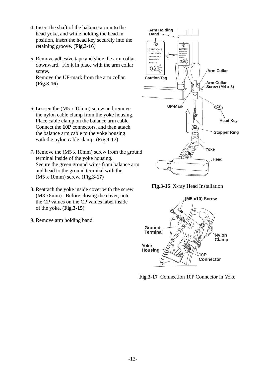- 4. Insert the shaft of the balance arm into the head yoke, and while holding the head in position, insert the head key securely into the retaining groove. (**Fig.3-16**)
- 5. Remove adhesive tape and slide the arm collar downward. Fix it in place with the arm collar screw.

 Remove the UP-mark from the arm collar. (**Fig.3-16**)

- 6. Loosen the (M5 x 10mm) screw and remove the nylon cable clamp from the yoke housing. Place cable clamp on the balance arm cable. Connect the **10P** connectors, and then attach the balance arm cable to the yoke housing with the nylon cable clamp. (**Fig.3-17**)
- 7. Remove the (M5 x 10mm) screw from the ground terminal inside of the yoke housing. Secure the green ground wires from balance arm and head to the ground terminal with the (M5 x 10mm) screw. (**Fig.3-17**)
- 8. Reattach the yoke inside cover with the screw (M3 x8mm). Before closing the cover, note the CP values on the CP values label inside of the yoke. (**Fig.3-15**)
- 9. Remove arm holding band.



**Fig.3-16** X-ray Head Installation



**Fig.3-17** Connection 10P Connector in Yoke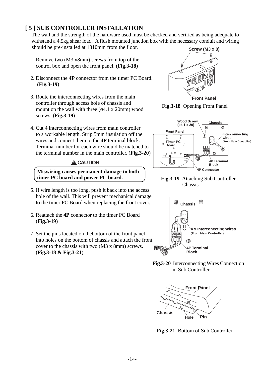# **[ 5 ] SUB CONTROLLER INSTALLATION**

 The wall and the strength of the hardware used must be checked and verified as being adequate to withstand a 4.5kg shear load. A flush mounted junction box with the necessary conduit and wiring should be pre-installed at 1310mm from the floor.

- 1. Remove two (M3 x8mm) screws from top of the control box and open the front panel. (**Fig.3-18**)
- 2. Disconnect the **4P** connector from the timer PC Board. (**Fig.3-19**)
- 3. Route the interconnecting wires from the main controller through access hole of chassis and mount on the wall with three (ø4.1 x 20mm) wood screws. (**Fig.3-19**)
- 4. Cut 4 interconnecting wires from main controller to a workable length. Strip 5mm insulation off the wires and connect them to the **4P** terminal block. Terminal number for each wire should be matched to the terminal number in the main controller. (**Fig.3-20**)

# **A** CAUTION

 **Miswiring causes permanent damage to both timer PC board and power PC board.**

- 5. If wire length is too long, push it back into the access hole of the wall. This will prevent mechanical damage to the timer PC Board when replacing the front cover.
- 6. Reattach the **4P** connector to the timer PC Board (**Fig.3-19**)
- 7. Set the pins located on thebottom of the front panel into holes on the bottom of chassis and attach the front cover to the chassis with two (M3 x 8mm) screws. (**Fig.3-18 & Fig.3-21**)



**Fig.3-18** Opening Front Panel



**Fig.3-19** Attaching Sub Controller Chassis



**Fig.3-20** Interconnecting Wires Connection in Sub Controller



**Fig.3-21** Bottom of Sub Controller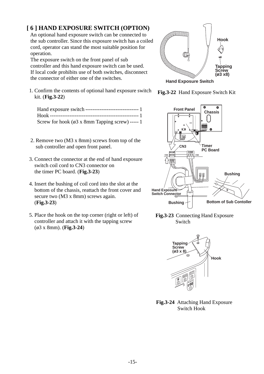# **[ 6 ] HAND EXPOSURE SWITCH (OPTION)**

 An optional hand exposure switch can be connected to the sub controller. Since this exposure switch has a coiled cord, operator can stand the most suitable position for operation.

 The exposure switch on the front panel of sub controller and this hand exposure switch can be used. If local code prohibits use of both switches, disconnect the connector of either one of the switches.

 1. Confirm the contents of optional hand exposure switch kit. (**Fig.3-22**)

| Screw for hook ( $\emptyset$ 3 x 8mm Tapping screw) ----- 1 |  |
|-------------------------------------------------------------|--|

- 2. Remove two (M3 x 8mm) screws from top of the sub controller and open front panel.
- 3. Connect the connector at the end of hand exposure switch coil cord to CN3 connector on the timer PC board. (**Fig.3-23**)
- 4. Insert the bushing of coil cord into the slot at the bottom of the chassis, reattach the front cover and secure two (M3 x 8mm) screws again. (**Fig.3-23**)
- 5. Place the hook on the top corner (right or left) of controller and attach it with the tapping screw (ø3 x 8mm). (**Fig.3-24**)







**Fig.3-23** Connecting Hand Exposure Switch



**Fig.3-24** Attaching Hand Exposure Switch Hook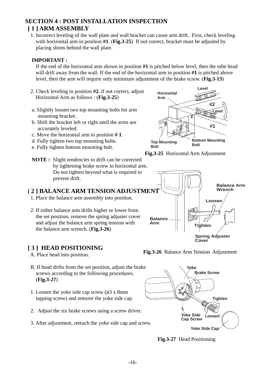# **SECTION 4 : POST INSTALLATION INSPECTION [ 1 ] ARM ASSEMBLY**

 1. Incorrect leveling of the wall plate and wall bracket can cause arm drift. First, check leveling with horizontal arm in position **#1**. (**Fig.3-25**) If not correct, bracket must be adjusted by placing shims behind the wall plate.

# **IMPORTANT :**

If the end of the horizontal arm shown in position **#1** is pitched below level, then the tube head will drift away from the wall. If the end of the horizontal arm in position **#1** is pitched above level, then the arm will require only minimum adjustment of the brake screw. (**Fig.3-13**)

- 2. Check leveling in position **#2**. if not correct, adjust Horizontal Arm as follows : (**Fig.3-25**)
- a. Slightly loosen two top mounting bolts for arm mounting bracket.
- b. Shift the bracket left or right until the arms are accurately leveled.

**NOTE :** Slight tendencies to drift can be corrected

1. Place the balance arm assembly into position.

 2. If either balance arm drifts higher or lower from the set position, remove the spring adjuster cover and adjust the balance arm spring tension with

Do not tighten beyond what is required to

- c. Move the horizontal arm to position **# 1**.
- d. Fully tighten two top mounting bolts.
- e. Fully tighten bottom mounting bolt.

prevent drift.



**Fig.3-25** Horizontal Arm Adjustment





the balance arm wrench. (**Fig.3-26**)

- A. Place head into position.
- B. If head drifts from the set position, adjust the brake screws according to the following procedures. (**Fig.3-27**)
- 1. Loosen the yoke side cap screw  $(63 \times 8 \text{mm})$ tapping screw) and remove the yoke side cap.
- 2. Adjust the six brake screws using a screw driver.
- 3. After adjustment, reteach the yoke side cap and screw.



**Fig.3-27** Head Positioning

**Cover**

#### **Fig.3-26** Balance Arm Tension Adjustment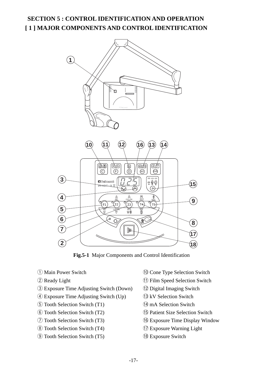# **SECTION 5 : CONTROL IDENTIFICATION AND OPERATION [ 1 ] MAJOR COMPONENTS AND CONTROL IDENTIFICATION**



**Fig.5-1** Major Components and Control Identification

- 
- 
- e Exposure Time Adjusting Switch (Down) !2 Digital Imaging Switch
- $\overline{4}$  Exposure Time Adjusting Switch (Up)  $\overline{3}$  kV Selection Switch
- $\circ$  Tooth Selection Switch (T1)  $\circ$  (4) mA Selection Switch
- 
- 
- **i** Tooth Selection Switch (T4) *i* Exposure Warning Light
- **(9)** Tooth Selection Switch (T5) **18** Exposure Switch
- q Main Power Switch !0 Cone Type Selection Switch
- 2 Ready Light " 1 Film Speed Selection Switch"
	-
	-
	-
- y Tooth Selection Switch (T2) ! Patient Size Selection Switch 5
- $\circled{1}$  Tooth Selection Switch (T3)  $\circled{1}$  Exposure Time Display Window
	-
	-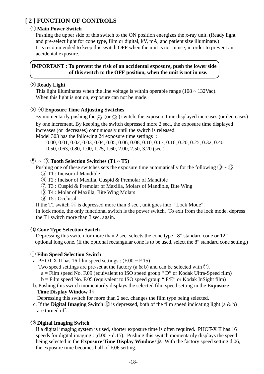# **[ 2 ] FUNCTION OF CONTROLS**

# q **Main Power Switch**

 Pushing the upper side of this switch to the ON position energizes the x-ray unit. (Ready light and pre-select light for cone type, film or digital, kV, mA, and patient size illuminate.) It is recommended to keep this switch OFF when the unit is not in use, in order to prevent an accidental exposure.

# **IMPORTANT : To prevent the risk of an accidental exposure, push the lower side of this switch to the OFF position, when the unit is not in use.**

# **(2) Ready Light**

This light illuminates when the line voltage is within operable range ( $108 \sim 132$ Vac). When this light is not on, exposure can not be made.

# **(3) A** Exposure Time Adjusting Switches

By momentarily pushing the  $\Diamond$  (or  $\Diamond$ ) switch, the exposure time displayed increases (or decreases) by one increment. By keeping the switch depressed more 2 sec., the exposure time displayed increases (or decreases) continuously until the switch is released.

Model 303 has the following 24 exposure time settings :

 0.00, 0.01, 0.02, 0.03, 0.04, 0.05, 0.06, 0.08, 0.10, 0.13, 0.16, 0.20, 0.25, 0.32, 0.40 0.50, 0.63, 0.80, 1.00, 1.25, 1.60, 2.00, 2.50, 3.20 (sec.)

# $\textcircled{\scriptsize{5}} \sim \textcircled{\scriptsize{9}}$  Tooth Selection Switches (T1 ~ T5)

Pushing one of these switches sets the exposure time automatically for the following  $(0) \sim (15)$ .

- $(5)$  T1 : Incisor of Mandible
- y T2 : Incisor of Maxilla, Cuspid & Premolar of Mandible
- $\overline{O}$  T3 : Cuspid & Premolar of Maxilla, Molars of Mandible, Bite Wing
- i T4 : Molar of Maxilla, Bite Wing Molars
- $(9)$  T5 : Occlusal

If the T1 switch  $\circled{5}$  is depressed more than 3 sec., unit goes into "Lock Mode".

 In lock mode, the only functional switch is the power switch. To exit from the lock mode, depress the T1 switch more than 3 sec. again.

# !0**Cone Type Selection Switch**

Depressing this switch for more than 2 sec. selects the cone type : 8" standard cone or 12" optional long cone. (If the optional rectangular cone is to be used, select the 8" standard cone setting.)

# !1**Film Speed Selection Switch**

- a. PHOT-X II has 16 film speed settings :  $(F.00 \sim F.15)$ 
	- Two speed settings are pre-set at the factory (a & b) and can be selected with  $(1)$ .
		- a = Film speed No. F.09 (equivalent to ISO speed group " D" or Kodak Ultra-Speed film)
	- $b =$  Film speed No. F.05 (equivalent to ISO speed group "F/E" or Kodak InSight film)
- b. Pushing this switch momentarily displays the selected film speed setting in the **Exposure Time Display Window** (16).

Depressing this switch for more than 2 sec. changes the film type being selected.

c. If the **Digital Imaging Switch**  $\Omega$  is depressed, both of the film speed indicating light (a & b) are turned off.

# !2**Digital Imaging Switch**

 If a digital imaging system is used, shorter exposure time is often required. PHOT-X II has 16 speeds for digital imaging :  $(d.00 \sim d.15)$ . Pushing this switch momentarily displays the speed being selected in the **Exposure Time Display Window 16.** With the factory speed setting d.06, the exposure time becomes half of F.06 setting.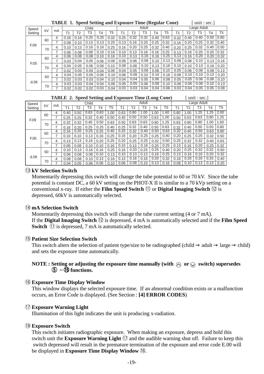|         |    | TIDLI |      |      |       |      |      |      | 1. Speed Setting and Exposure Third (Regular Conc) |       |      |      | $\text{unit} \cdot \text{out}$ |      |      |      |                |
|---------|----|-------|------|------|-------|------|------|------|----------------------------------------------------|-------|------|------|--------------------------------|------|------|------|----------------|
| Speed   |    |       |      |      | Child |      |      |      |                                                    | Adult |      |      | Large Adult                    |      |      |      |                |
| Setting | kV | mA    | Τ1   | T2   | T3    | T4   | T5   | Τ1   | Τ2                                                 | T3    | T4   | T5   | Τ1                             | T2   | T3   | T4   | T <sub>5</sub> |
|         | 60 | 4     | 0.16 | 0.16 | 0.20  | 0.25 | 0.32 | 0.25 | 0.32                                               | 0.32  | 0.40 | 0.63 | 0.32                           | 0.40 | 0.40 | 0.50 | 0.80           |
|         |    | 7     | 0.08 | 0.10 | 0.13  | 0.13 | 0.20 | 0.13 | 0.16                                               | 0.20  | 0.25 | 0.32 | 0.16                           | 0.20 | 0.25 | 0.32 | 0.40           |
| F.09    | 70 | 4     | 0.10 | 0.13 | 0.16  | 0.16 | 0.25 | 0.16 | 0.20                                               | 0.25  | 0.32 | 0.40 | 0.20                           | 0.25 | 0.32 | 0.40 | 0.50           |
|         |    |       | 0.06 | 0.08 | 0.08  | 0.10 | 0.16 | 0.10 | 0.13                                               | 0.16  | 0.16 | 0.25 | 0.13                           | 0.16 | 0.20 | 0.20 | 0.32           |
|         | 60 | 4     | 0.06 | 0.08 | 0.08  | 0.10 | 0.16 | 0.10 | 0.13                                               | 0.16  | 0.16 | 0.25 | 0.13                           | 0.16 | 0.20 | 0.20 | 0.32           |
| F.05    |    |       | 0.03 | 0.04 | 0.05  | 0.06 | 0.08 | 0.06 | 0.06                                               | 0.08  | 0.10 | 0.13 | 0.08                           | 0.08 | 0.10 | 0.13 | 0.16           |
|         | 70 | 4     | 0.04 | 0.05 | 0.06  | 0.08 | 0.10 | 0.08 | 0.08                                               | 0.10  | 0.13 | 0.16 | 0.10                           | 0.10 | 0.13 | 0.16 | 0.20           |
|         |    |       | 0.02 | 0.03 | 0.04  | 0.04 | 0.06 | 0.04 | 0.05                                               | 0.06  | 0.06 | 0.10 | 0.05                           | 0.06 | 0.08 | 0.08 | 0.13           |
|         | 60 | 4     | 0.04 | 0.05 | 0.05  | 0.06 | 0.10 | 0.06 | 0.08                                               | 0.10  | 0.10 | 0.16 | 0.08                           | 0.10 | 0.10 | 0.13 | 0.20           |
|         |    | 7     | 0.02 | 0.03 | 0.03  | 0.04 | 0.10 | 0.04 | 0.04                                               | 0.05  | 0.06 | 0.08 | 0.05                           | 0.05 | 0.06 | 0.08 | 0.10           |
| d.06    | 70 | 4     | 0.03 | 0.03 | 0.04  | 0.04 | 0.06 | 0.05 | 0.05                                               | 0.06  | 0.08 | 0.10 | 0.06                           | 0.06 | 0.08 | 0.10 | 0.13           |
|         |    |       | 0.02 | 0.02 | 0.02  | 0.03 | 0.04 | 0.03 | 0.03                                               | 0.04  | 0.04 | 0.06 | 0.03                           | 0.04 | 0.05 | 0.05 | 0.08           |

|  | <b>TABLE 1. Speed Setting and Exposure Time (Regular Cone)</b> |  |  | $[$ unit : sec.] |
|--|----------------------------------------------------------------|--|--|------------------|
|--|----------------------------------------------------------------|--|--|------------------|

|  |  | <b>TABLE 2. Speed Setting and Exposure Time (Long Cone)</b> |  |  |  | $[$ unit : sec.] |
|--|--|-------------------------------------------------------------|--|--|--|------------------|
|--|--|-------------------------------------------------------------|--|--|--|------------------|

| Speed   |    | mA |      |      | Child |      |      |      |      | <b>Adult</b> |      |      | Large Adult |      |      |                |                |
|---------|----|----|------|------|-------|------|------|------|------|--------------|------|------|-------------|------|------|----------------|----------------|
| Setting | kV |    | Τ1   | T2   | T3    | T4   | Т5   | Τ1   | Τ2   | T3           | T4   | T5   | Τ1          | T2   | T3   | T <sub>4</sub> | T <sub>5</sub> |
|         | 60 | 4  | 0.40 | 0.50 | 0.63  | 0.63 | 1.00 | 0.63 | 0.80 | 1.00         | 1.00 | 1.60 | 0.80        | 1.00 | .25  | 1.25           | 2.00           |
|         |    |    | 0.25 | 0.25 | 0.32  | 0.40 | 0.50 | 0.40 | 0.50 | 0.50         | 0.63 | 1.00 | 0.50        | 0.63 | 0.63 | 0.80           | 1.25           |
| F.09    | 70 | 4  | 0.32 | 0.32 | 0.40  | 0.50 | 0.63 | 0.50 | 0.63 | 0.63         | 0.80 | 1.25 | 0.63        | 0.80 | 0.80 | 1.00           | 1.60           |
|         |    |    | 0.16 | 0.20 | 0.25  | 0.25 | 0.40 | 0.25 | 0.32 | 0.40         | 0.50 | 0.63 | 0.32        | 0.40 | 0.50 | 0.50           | 0.80           |
|         | 60 | 4  | 0.16 | 0.20 | 0.25  | 0.25 | 0.40 | 0.25 | 0.32 | 0.40         | 0.50 | 0.63 | 0.32        | 0.40 | 0.50 | 0.63           | 0.80           |
| F.05    |    |    | 0.10 | 0.10 | 0.13  | 0.16 | 0.25 | 0.16 | 0.20 | 0.25         | 0.25 | 0.40 | 0.20        | 0.25 | 0.25 | 0.32           | 0.50           |
|         | 70 | 4  | 0.13 | 0.13 | 0.16  | 0.20 | 0.25 | 0.20 | 0.25 | 0.25         | 0.32 | 0.50 | 0.25        | 0.32 | 0.32 | 0.40           | 0.63           |
|         |    |    | 0.06 | 0.08 | 0.10  | 0.10 | 0.16 | 0.10 | 0.13 | 0.16         | 0.20 | 0.25 | 0.13        | 0.16 | 0.20 | 0.25           | 0.32           |
|         | 60 | 4  | 0.10 | 0.13 | 0.16  | 0.16 | 0.25 | 0.16 | 0.20 | 0.25         | 0.25 | 0.40 | 0.20        | 0.25 | 0.32 | 0.32           | 0.50           |
| d.06    |    | ⇁  | 0.06 | 0.08 | 0.08  | 0.10 | 0.13 | 0.10 | 0.13 | 0.13         | 0.16 | 0.25 | 0.13        | 0.16 | 0.16 | 0.20           | 0.32           |
|         | 70 | 4  | 0.08 | 0.08 | 0.10  | 0.13 | 0.16 | 0.13 | 0.16 | 0.16         | 0.20 | 0.32 | 0.16        | 0.20 | 0.20 | 0.25           | 0.40           |
|         |    |    | 0.04 | 0.05 | 0.06  | 0.06 | 0.10 | 0.06 | 0.08 | 0.10         | 0.13 | 0.16 | 0.08        | 0.10 | 0.13 | 0.13           | 0.20           |

#### !3**kV Selection Switch**

 Momentarily depressing this switch will change the tube potential to 60 or 70 kV. Since the tube potential is constant DC, a 60 kV setting on the PHOT-X II is similar to a 70 kVp setting on a conventional x-ray. If either the **Film Speed Switch** (1) or **Digital Imaging Switch** (12) is depressed, 60kV is automatically selected.

#### !4**mA Selection Switch**

 Momentarily depressing this switch will change the tube current setting (4 or 7 mA). If the **Digital Imaging Switch** !2 is depressed, 4 mA is automatically selected and if the **Film Speed Switch** (1) is depressed, 7 mA is automatically selected.

#### !5**Patient Size Selection Switch**

This switch alters the selection of patient type/size to be radiographed (child adult large child) and sets the exposure time automatically.

# **NOTE : Setting or adjusting the exposure time manually (with**  $\Diamond$  **or**  $\Diamond$  **switch) supersedes**  $(5) \sim$  **15** functions.

#### ! **Exposure Time Display Window** 6

This window displays the selected exposure time. If an abnormal condition exists or a malfunction occurs, an Error Code is displayed. (See Section : **[4] ERROR CODES**)

#### !7**Exposure Warning Light**

Illumination of this light indicates the unit is producing x-radiation.

#### !8**Exposure Switch**

 This switch initiates radiographic exposure. When making an exposure, depress and hold this switch unit the **Exposure Warning Light**  $(\bar{7})$  and the audible warning shut off. Failure to keep this switch depressed will result in the premature termination of the exposure and error code E.00 will be displayed in **Exposure Time Display Window** (16.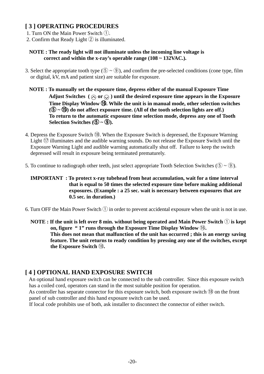# **[ 3 ] OPERATING PROCEDURES**

- 1. Turn ON the Main Power Switch  $(1)$ .
- 2. Confirm that Ready Light  $\circled{2}$  is illuminated.

# **NOTE : The ready light will not illuminate unless the incoming line voltage is correct and within the x-ray's operable range (108 ~ 132VAC.).**

- 3. Select the appropriate tooth type  $(\overline{5}) \sim (\overline{9})$ , and confirm the pre-selected conditions (cone type, film or digital, kV, mA and patient size) are suitable for exposure.
	- **NOTE : To manually set the exposure time, depress either of the manual Exposure Time** Adjust Switches  $(\alpha)$  or  $\Diamond$ ) until the desired exposure time appears in the Exposure  **Time Display Window** !6**. While the unit is in manual mode, other selection switches** 6  $(5 \sim 15)$  do not affect exposure time. (All of the tooth selection lights are off.)  **To return to the automatic exposure time selection mode, depress any one of Tooth Selection Switches**  $(\overline{5}) \sim (\overline{9})$ **.**
- 4. Depress the Exposure Switch  $\overline{18}$ . When the Exposure Switch is depressed, the Exposure Warning Light  $\circled{7}$  illuminates and the audible warning sounds. Do not release the Exposure Switch until the Exposure Warning Light and audible warning automatically shut off. Failure to keep the switch depressed will result in exposure being terminated prematurely.
- 5. To continue to radiograph other teeth, just select appropriate Tooth Selection Switches ( $\overline{5}$   $\sim$   $\overline{9}$ ).

 **IMPORTANT : To protect x-ray tubehead from heat accumulation, wait for a time interval that is equal to 50 times the selected exposure time before making additional exposures. (Example : a 25 sec. wait is necessary between exposures that are 0.5 sec. in duration.)**

- 6. Turn OFF the Main Power Switch  $\left(1\right)$  in order to prevent accidental exposure when the unit is not in use.
	- **NOTE : If the unit is left over 8 min. without being operated and Main Power Switch**  $\left(\frac{1}{2}\right)$  **is kept on, figure " 1" runs through the Exposure Time Display Window** !6**. This does not mean that malfunction of the unit has occurred ; this is an energy saving feature. The unit returns to ready condition by pressing any one of the switches, except the Exposure Switch 18.**

# **[ 4 ] OPTIONAL HAND EXPOSURE SWITCH**

 An optional hand exposure switch can be connected to the sub controller. Since this exposure switch has a coiled cord, operators can stand in the most suitable position for operation.

As controller has separate connector for this exposure switch, both exposure switch  $(18)$  on the front panel of sub controller and this hand exposure switch can be used.

If local code prohibits use of both, ask installer to disconnect the connector of either switch.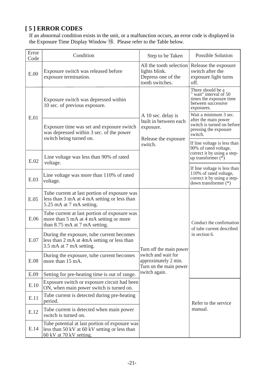# **[ 5 ] ERROR CODES**

 If an abnormal condition exists in the unit, or a malfunction occurs, an error code is displayed in the Exposure Time Display Window 16. Please refer to the Table below.

| Error<br>Code | Condition                                                                                                                  | Step to be Taken                                                                  | <b>Possible Solution</b>                                                                                        |
|---------------|----------------------------------------------------------------------------------------------------------------------------|-----------------------------------------------------------------------------------|-----------------------------------------------------------------------------------------------------------------|
| E.00          | Exposure switch was released before<br>exposure termination.                                                               | All the tooth selection<br>lights blink.<br>Depress one of the<br>tooth switches. | Release the exposure<br>switch after the<br>exposure light turns<br>off.                                        |
|               | Exposure switch was depressed within<br>10 sec. of previous exposure.                                                      |                                                                                   | There should be a<br>" wait" interval of 50<br>times the exposure time<br>between successive<br>exposures.      |
| E.01          | Exposure time was set and exposure switch<br>was depressed within 3 sec. of the power<br>switch being turned on.           | A 10 sec. delay is<br>built in between each<br>exposure.<br>Release the exposure  | Wait a minimum 3 sec.<br>after the main power<br>switch is turned on before<br>pressing the exposure<br>switch. |
|               |                                                                                                                            | switch.                                                                           | If line voltage is less than<br>90% of rated voltage,                                                           |
| E.02          | Line voltage was less than 90% of rated<br>voltage.                                                                        |                                                                                   | correct it by using a step-<br>up transformer $(*)$                                                             |
| E.03          | Line voltage was more than 110% of rated<br>voltage.                                                                       |                                                                                   | If line voltage is less than<br>110% of rated voltage,<br>correct it by using a step-<br>down transformer (*)   |
| E.05          | Tube current at last portion of exposure was<br>less than 3 mA at 4 mA setting or less than<br>5.25 mA at 7 mA setting.    |                                                                                   |                                                                                                                 |
| E.06          | Tube current at last portion of exposure was<br>more than 5 mA at 4 mA setting or more<br>than 8.75 mA at 7 mA setting.    |                                                                                   | Conduct the confirmation<br>of tube current described                                                           |
| E.07          | During the exposure, tube current becomes<br>less than 2 mA at 4mA setting or less than<br>3.5 mA at 7 mA setting.         | Turn off the main power                                                           | in section 6.                                                                                                   |
| E.08          | During the exposure, tube current becomes<br>more than 15 mA.                                                              | switch and wait for<br>approximately 2 min.<br>Turn on the main power             |                                                                                                                 |
| E.09          | Setting for pre-heating time is out of range.                                                                              | switch again.                                                                     |                                                                                                                 |
| E.10          | Exposure switch or exposure circuit had been<br>ON, when main power switch is turned on.                                   |                                                                                   |                                                                                                                 |
| E.11          | Tube current is detected during pre-heating<br>period.                                                                     |                                                                                   | Refer to the service                                                                                            |
| E.12          | Tube current is detected when main power<br>switch is turned on.                                                           |                                                                                   | manual.                                                                                                         |
| E.14          | Tube potential at last portion of exposure was<br>less than 50 kV at 60 kV setting or less than<br>60 kV at 70 kV setting. |                                                                                   |                                                                                                                 |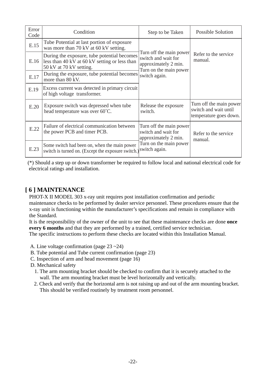| Error<br>Code | Condition                                                                                                               | Step to be Taken                                                                                 | <b>Possible Solution</b>                                                   |
|---------------|-------------------------------------------------------------------------------------------------------------------------|--------------------------------------------------------------------------------------------------|----------------------------------------------------------------------------|
| E.15          | Tube Potential at last portion of exposure<br>was more than 70 kV at 60 kV setting.                                     |                                                                                                  |                                                                            |
| E.16          | During the exposure, tube potential becomes<br>less than 40 kV at 60 kV setting or less than<br>50 kV at 70 kV setting. | Turn off the main power<br>switch and wait for<br>approximately 2 min.<br>Turn on the main power | Refer to the service<br>manual.                                            |
| E.17          | During the exposure, tube potential becomes<br>more than 80 kV.                                                         | switch again.                                                                                    |                                                                            |
| E.19          | Excess current was detected in primary circuit<br>of high voltage transformer.                                          |                                                                                                  |                                                                            |
| E.20          | Exposure switch was depressed when tube<br>head temperature was over 60°C.                                              | Release the exposure<br>switch.                                                                  | Turn off the main power<br>switch and wait until<br>temperature goes down. |
| E.22          | Failure of electrical communication between<br>the power PCB and timer PCB.                                             | Turn off the main power<br>switch and wait for<br>approximately 2 min.                           | Refer to the service<br>manual.                                            |
| E.23          | Some switch had been on, when the main power<br>switch is turned on. (Except the exposure switch.)                      | Turn on the main power<br>switch again.                                                          |                                                                            |

(\*) Should a step up or down transformer be required to follow local and national electrical code for electrical ratings and installation.

# **[ 6 ] MAINTENANCE**

 PHOT-X II MODEL 303 x-ray unit requires post installation confirmation and periodic maintenance checks to be performed by dealer service personnel. These procedures ensure that the x-ray unit is functioning within the manufacturer's specifications and remain in compliance with the Standard.

 It is the responsibility of the owner of the unit to see that these maintenance checks are done **once every 6 months** and that they are performed by a trained, certified service technician. The specific instructions to perform these checks are located within this Installation Manual.

A. Line voltage confirmation (page 23 ~24)

- B. Tube potential and Tube current confirmation (page 23)
- C. Inspection of arm and head movement (page 16)

D. Mechanical safety

- 1. The arm mounting bracket should be checked to confirm that it is securely attached to the wall. The arm mounting bracket must be level horizontally and vertically.
- 2. Check and verify that the horizontal arm is not raising up and out of the arm mounting bracket. This should be verified routinely by treatment room personnel.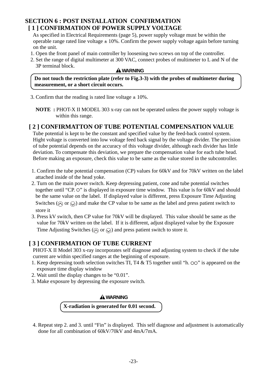# **SECTION 6 : POST INSTALLATION CONFIRMATION [ 1 ] CONFIRMATION OF POWER SUPPLY VOLTAGE**

 As specified in Electrical Requirements (page 5), power supply voltage must be within the operable range rated line voltage  $\pm 10\%$ . Confirm the power supply voltage again before turning on the unit.

- 1. Open the front panel of main controller by loosening two screws on top of the controller.
- 2. Set the range of digital multimeter at 300 VAC, connect probes of multimeter to L and N of the 3P terminal block.

#### **A** WARNING

 **Do not touch the restriction plate (refer to Fig.3-3) with the probes of multimeter during measurement, or a short circuit occurs.**

3. Confirm that the reading is rated line voltage  $\pm$  10%.

 **NOTE :** PHOT-X II MODEL 303 x-ray can not be operated unless the power supply voltage is within this range.

# **[ 2 ] CONFIRMATTON OF TUBE POTENTIAL COMPENSATION VALUE**

 Tube potential is kept to be the constant and specified value by the feed-back control system. Hight voltage is converted into low voltage feed back signal by the voltage divider. The precision of tube potential depends on the accuracy of this voltage divider, although each divider has little deviation. To compensate this deviation, we prepare the compensation value for each tube head. Before making an exposure, check this value to be same as the value stored in the subcontroller.

- 1. Confirm the tube potential compensation (CP) values for 60kV and for 70kV written on the label attached inside of the head yoke.
- 2. Turn on the main power switch. Keep depressing patient, cone and tube potential switches together until "CP.  $\circ$ " is displayed in exposure time window. This value is for 60kV and should be the same value on the label. If displayed value is different, press Exposure Time Adjusting Switches ( $\widehat{\otimes}$ ) and make the CP value to be same as the label and press patient switch to store it
- 3. Press kV switch, then CP value for 70kV will be displayed. This value should be same as the value for 70kV written on the label. If it is different, adjust displayed value by the Exposure Time Adjusting Switches ( $\widehat{\otimes}$  or  $\widehat{\otimes}$ ) and press patient switch to store it.

# **[ 3 ] CONFIRMATION OF TUBE CURRENT**

 PHOT-X II Model 303 x-ray incorporates self diagnose and adjusting system to check if the tube current are within specified ranges at the beginning of exposure.

- 1. Keep depressing tooth selection switches TI, T4  $&$  T5 together until "h.  $&$ OO" is appeared on the exposure time display window
- 2. Wait until the display changes to be "0.01".
- 3. Make exposure by depressing the exposure switch.

# **WARNING**

# **X-radiation is generated for 0.01 second.**

 4. Repeat step 2. and 3. until "Fin" is displayed. This self diagnose and adjustment is automatically done for all combination of 60kV/70kV and 4mA/7mA.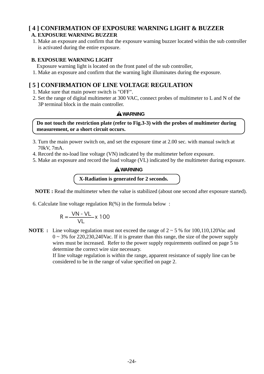# **[ 4 ] CONFIRMATION OF EXPOSURE WARNING LIGHT & BUZZER A. EXPOSURE WARNING BUZZER**

 1. Make an exposure and confirm that the exposure warning buzzer located within the sub controller is activated during the entire exposure.

# **B. EXPOSURE WARNING LIGHT**

Exposure warning light is located on the front panel of the sub controller,

1. Make an exposure and confirm that the warning light illuminates during the exposure.

# **[ 5 ] CONFIRMATION OF LINE VOLTAGE REGULATION**

- 1. Make sure that main power switch is "OFF".
- 2. Set the range of digital multimeter at 300 VAC, connect probes of multimeter to L and N of the 3P terminal block in the main controller.

# **WARNING**

 **Do not touch the restriction plate (refer to Fig.3-3) with the probes of multimeter during measurement, or a short circuit occurs.**

- 3. Turn the main power switch on, and set the exposure time at 2.00 sec. with manual switch at 70kV, 7mA.
- 4. Record the no-load line voltage (VN) indicated by the multimeter before exposure.
- 5. Make an exposure and record the load voltage (VL) indicated by the multimeter during exposure.

# **X-Radiation is generated for 2 seconds. WARNING**

**NOTE :** Read the multimeter when the value is stabilized (about one second after exposure started).

6. Calculate line voltage regulation  $R(\%)$  in the formula below :

$$
R = \frac{VN - VL}{VL} \times 100
$$

**NOTE :** Line voltage regulation must not exceed the range of 2 ~ 5 % for 100,110,120Vac and  $0 \sim 3\%$  for 220,230,240Vac. If it is greater than this range, the size of the power supply wires must be increased. Refer to the power supply requirements outlined on page 5 to determine the correct wire size necessary.

> If line voltage regulation is within the range, apparent resistance of supply line can be considered to be in the range of value specified on page 2.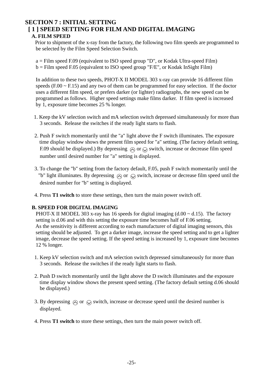# **SECTION 7 : INITIAL SETTING [ 1 ] SPEED SETTING FOR FILM AND DIGITAL IMAGING**

# **A. FILM SPEED**

Prior to shipment of the x-ray from the factory, the following two film speeds are programmed to be selected by the Film Speed Selection Switch.

 a = Film speed F.09 (equivalent to ISO speed group "D", or Kodak Ultra-speed Film)  $b =$  Film speed F.05 (equivalent to ISO speed group "F/E", or Kodak InSight Film)

 In addition to these two speeds, PHOT-X II MODEL 303 x-ray can provide 16 different film speeds  $(F.00 \sim F.15)$  and any two of them can be programmed for easy selection. If the doctor uses a different film speed, or prefers darker (or lighter) radiographs, the new speed can be programmed as follows. Higher speed settings make films darker. If film speed is increased by 1, exposure time becomes 25 % longer.

- 1. Keep the kV selection switch and mA selection switch depressed simultaneously for more than 3 seconds. Release the switches if the ready light starts to flash.
- 2. Push F switch momentarily until the "a" light above the F switch illuminates. The exposure time display window shows the present film speed for "a" setting. (The factory default setting, F.09 should be displayed.) By depressing  $\Diamond$  or  $\Diamond$  switch, increase or decrease film speed number until desired number for "a" setting is displayed.
- 3. To change the "b" setting from the factory default, F.05, push F switch momentarily until the "b" light illuminates. By depressing  $\Diamond$  or  $\Diamond$  switch, increase or decrease film speed until the desired number for "b" setting is displayed.
- 4. Press **T1 switch** to store these settings, then turn the main power switch off.

# **B. SPEED FOR DIGITAL IMAGING**

PHOT-X II MODEL 303 x-ray has 16 speeds for digital imaging  $(d.00 \sim d.15)$ . The factory setting is d.06 and with this setting the exposure time becomes half of F.06 setting. As the sensitivity is different according to each manufacturer of digital imaging sensors, this setting should be adjusted. To get a darker image, increase the speed setting and to get a lighter image, decrease the speed setting. If the speed setting is increased by 1, exposure time becomes 12 % longer.

- 1. Keep kV selection switch and mA selection switch depressed simultaneously for more than 3 seconds. Release the switches if the ready light starts to flash.
- 2. Push D switch momentarily until the light above the D switch illuminates and the exposure time display window shows the present speed setting. (The factory default setting d.06 should be displayed.)
- 3. By depressing  $\Diamond$  or  $\Diamond$  switch, increase or decrease speed until the desired number is displayed.
- 4. Press **T1 switch** to store these settings, then turn the main power switch off.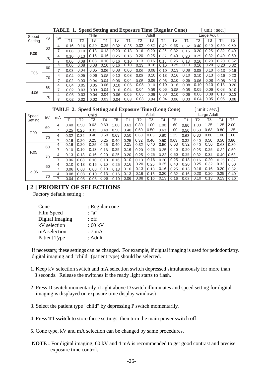|         |    | птин | -≖•  |      |       | opeed setting and Exposure Thine (Regular Cone) |      |      |      |       |      | 0.001111.0001 |      |      |             |                |                |
|---------|----|------|------|------|-------|-------------------------------------------------|------|------|------|-------|------|---------------|------|------|-------------|----------------|----------------|
| Speed   | kV | mA   |      |      | Child |                                                 |      |      |      | Adult |      |               |      |      | Large Adult |                |                |
| Setting |    |      | Τ1   | T2   | T3    | Τ4                                              | T5   | Τ1   | T2   | T3    | T4   | T5            | Τ1   | T2   | T3          | T <sub>4</sub> | T <sub>5</sub> |
|         | 60 | 4    | 0.16 | 0.16 | 0.20  | 0.25                                            | 0.32 | 0.25 | 0.32 | 0.32  | 0.40 | 0.63          | 0.32 | 0.40 | 0.40        | 0.50           | 0.80           |
|         |    | 7    | 0.08 | 0.10 | 0.13  | 0.13                                            | 0.20 | 0.13 | 0.16 | 0.20  | 0.25 | 0.32          | 0.16 | 0.20 | 0.25        | 0.32           | 0.40           |
| F.09    | 70 | 4    | 0.10 | 0.13 | 0.16  | 0.16                                            | 0.25 | 0.16 | 0.20 | 0.25  | 0.32 | 0.40          | 0.20 | 0.25 | 0.32        | 0.40           | 0.50           |
|         |    | 7    | 0.06 | 0.08 | 0.08  | 0.10                                            | 0.16 | 0.10 | 0.13 | 0.16  | 0.16 | 0.25          | 0.13 | 0.16 | 0.20        | 0.20           | 0.32           |
|         | 60 | 4    | 0.06 | 0.08 | 0.08  | 0.10                                            | 0.16 | 0.10 | 0.13 | 0.16  | 0.16 | 0.25          | 0.13 | 0.16 | 0.20        | 0.20           | 0.32           |
|         |    | ⇁    | 0.03 | 0.04 | 0.05  | 0.06                                            | 0.08 | 0.06 | 0.06 | 0.08  | 0.10 | 0.13          | 0.08 | 0.08 | 0.10        | 0.13           | 0.16           |
| F.05    | 70 | 4    | 0.04 | 0.05 | 0.06  | 0.08                                            | 0.10 | 0.08 | 0.08 | 0.10  | 0.13 | 0.16          | 0.10 | 0.10 | 0.13        | 0.16           | 0.20           |
|         |    | ⇁    | 0.02 | 0.03 | 0.04  | 0.04                                            | 0.06 | 0.04 | 0.05 | 0.06  | 0.06 | 0.10          | 0.05 | 0.06 | 0.08        | 0.08           | 0.13           |
|         | 60 | 4    | 0.04 | 0.05 | 0.05  | 0.06                                            | 0.10 | 0.06 | 0.08 | 0.10  | 0.10 | 0.16          | 0.08 | 0.10 | 0.10        | 0.13           | 0.20           |
| d.06    |    | 7    | 0.02 | 0.03 | 0.03  | 0.04                                            | 0.10 | 0.04 | 0.04 | 0.05  | 0.06 | 0.08          | 0.05 | 0.05 | 0.06        | 0.08           | 0.10           |
|         | 70 | 4    | 0.03 | 0.03 | 0.04  | 0.04                                            | 0.06 | 0.05 | 0.05 | 0.06  | 0.08 | 0.10          | 0.06 | 0.06 | 0.08        | 0.10           | 0.13           |
|         |    |      | 0.02 | 0.02 | 0.02  | 0.03                                            | 0.04 | 0.03 | 0.03 | 0.04  | 0.04 | 0.06          | 0.03 | 0.04 | 0.05        | 0.05           | 0.08           |

**TABLE 1. Speed Setting and Exposure Time (Regular Cone)** [ unit : sec.]

#### **TABLE 2. Speed Setting and Exposure Time (Long Cone)** [unit : sec.]

| Speed   |    |    |      |      | Child |      |      |      |      | Adult |           |      | Large Adult |      |      |                |                |  |
|---------|----|----|------|------|-------|------|------|------|------|-------|-----------|------|-------------|------|------|----------------|----------------|--|
| Setting | kV | mA | Τ1   | T2   | TЗ    | Τ4   | T5   | Τ1   | T2   | TЗ    | <b>T4</b> | T5   | Τ1          | T2   | T3   | T <sub>4</sub> | T <sub>5</sub> |  |
|         | 60 | 4  | 0.40 | 0.50 | 0.63  | 0.63 | 1.00 | 0.63 | 0.80 | 1.00  | 0.00      | 1.60 | 0.80        | 1.00 | 1.25 | .25            | 2.00           |  |
|         |    | ⇁  | 0.25 | 0.25 | 0.32  | 0.40 | 0.50 | 0.40 | 0.50 | 0.50  | 0.63      | 1.00 | 0.50        | 0.63 | 0.63 | 0.80           | 1.25           |  |
| F.09    | 70 | 4  | 0.32 | 0.32 | 0.40  | 0.50 | 0.63 | 0.50 | 0.63 | 0.63  | 0.80      | 1.25 | 0.63        | 0.80 | 0.80 | 1.00           | 1.60           |  |
|         |    | ⇁  | 0.16 | 0.20 | 0.25  | 0.25 | 0.40 | 0.25 | 0.32 | 0.40  | 0.50      | 0.63 | 0.32        | 0.40 | 0.50 | 0.50           | 0.80           |  |
|         | 60 | 4  | 0.16 | 0.20 | 0.25  | 0.25 | 0.40 | 0.25 | 0.32 | 0.40  | 0.50      | 0.63 | 0.32        | 0.40 | 0.50 | 0.63           | 0.80           |  |
| F.05    |    |    | 0.10 | 0.10 | 0.13  | 0.16 | 0.25 | 0.16 | 0.20 | 0.25  | 0.25      | 0.40 | 0.20        | 0.25 | 0.25 | 0.32           | 0.50           |  |
|         | 70 | 4  | 0.13 | 0.13 | 0.16  | 0.20 | 0.25 | 0.20 | 0.25 | 0.25  | 0.32      | 0.50 | 0.25        | 0.32 | 0.32 | 0.40           | 0.63           |  |
|         |    |    | 0.06 | 0.08 | 0.10  | 0.10 | 0.16 | 0.10 | 0.13 | 0.16  | 0.20      | 0.25 | 0.13        | 0.16 | 0.20 | 0.25           | 0.32           |  |
|         | 60 | 4  | 0.10 | 0.13 | 0.16  | 0.16 | 0.25 | 0.16 | 0.20 | 0.25  | 0.25      | 0.40 | 0.20        | 0.25 | 0.32 | 0.32           | 0.50           |  |
| d.06    |    | ⇁  | 0.06 | 0.08 | 0.08  | 0.10 | 0.13 | 0.10 | 0.13 | 0.13  | 0.16      | 0.25 | 0.13        | 0.16 | 0.16 | 0.20           | 0.32           |  |
|         | 70 | 4  | 0.08 | 0.08 | 0.10  | 0.13 | 0.16 | 0.13 | 0.16 | 0.16  | 0.20      | 0.32 | 0.16        | 0.20 | 0.20 | 0.25           | 0.40           |  |
|         |    | –  | 0.04 | 0.05 | 0.06  | 0.06 | 0.10 | 0.06 | 0.08 | 0.10  | 0.13      | 0.16 | 0.08        | 0.10 | 0.13 | 0.13           | 0.20           |  |

# **[ 2 ] PRIORITY OF SELECTIONS**

Factory default setting :

| Cone            | : Regular cone |
|-----------------|----------------|
| Film Speed      | : "a"          |
| Digital Imaging | : off          |
| kV selection    | :60 kV         |
| mA selection    | :7mA           |
| Patient Type    | : Adult        |

If necessary, these settings can be changed. For example, if digital imaging is used for pedodontistry, digital imaging and "child" (patient type) should be selected.

- 1. Keep kV selection switch and mA selection switch depressed simultaneously for more than 3 seconds. Release the switches if the ready light starts to flash.
- 2. Press D switch momentarily. (Light above D switch illuminates and speed setting for digital imaging is displayed on exposure time display window.)
- 3. Select the patient type "child" by depressing P switch momentarily.
- 4. Press **T1 switch** to store these settings, then turn the main power switch off.

5. Cone type, kV and mA selection can be changed by same procedures.

 N**OTE :** For digital imaging, 60 kV and 4 mA is recommended to get good contrast and precise exposure time control.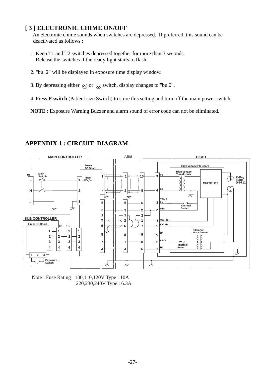# **[ 3 ] ELECTRONIC CHIME ON/OFF**

 An electronic chime sounds when switches are depressed. If preferred, this sound can be deactivated as follows :

- 1. Keep T1 and T2 switches depressed together for more than 3 seconds. Release the switches if the ready light starts to flash.
- 2. "bu. 2" will be displayed in exposure time display window.
- 3. By depressing either  $\Diamond$  or  $\Diamond$  switch, display changes to "bu.0".
- 4. Press **P switch** (Patient size Switch) to store this setting and turn off the main power switch.

**NOTE** : Exposure Warning Buzzer and alarm sound of error code can not be eliminated.

# **APPENDIX 1 : CIRCUIT DIAGRAM**



Note : Fuse Rating 100,110,120V Type : 10A 220,230,240V Type : 6.3A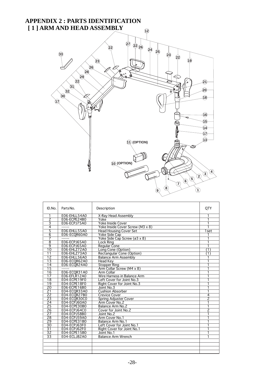#### **APPENDIX 2 : PARTS IDENTIFICATION [ 1 ] ARM AND HEAD ASSEMBLY 12 27 22 22 <sup>24</sup> <sup>26</sup> 25 33 <sup>22</sup> <sup>23</sup> 19 23 26 28 29** p **22 21 31 20 32 30 18 17 16 15 14 17 13 11 (OPTION) 10 (OPTION)**

| ID.No.          | Parts No.           | Description                      | OTY              |
|-----------------|---------------------|----------------------------------|------------------|
| 1               | E06-EHLL54A0        | X-Ray Head Assembly              | 1                |
| $\overline{2}$  | E06-ECPE24B0        | Yoke                             | 1                |
| 3               | E06-ECPJ75A0        | <b>Yoke Inside Cover</b>         |                  |
| 4               |                     | Yoke Inside Cover Screw (M3 x 8) |                  |
| 5               | E06-EHLL55A0        | <b>Head Housing Cover Set</b>    | $1$ set          |
| $\overline{6}$  | E06-ECOR60A0        | Yoke Side Cap                    |                  |
| 7               |                     | Yoke Side Cap Screw (ø3 x 8)     |                  |
| $\overline{8}$  | E06-ECPJ65A0        | Lock Rina                        |                  |
| $\overline{9}$  | E06-ECPJ65A0        | <b>Regular Cone</b>              |                  |
| $\overline{10}$ | <b>E06-EHLZ72A0</b> | Long Cone (Option)               | $\left(1\right)$ |
| 11              | E06-EHLZ73A0        | <b>Rectangular Cone (Option)</b> | $\mathbf{T}$     |
| $\overline{12}$ | E06-EHLL56A0        | <b>Balance Arm Assembly</b>      |                  |
| $\overline{13}$ | E06-ECQR62A0        | <b>Head Kev</b>                  |                  |
| $\overline{14}$ | E06-ECOR24A0        | <b>Stopper Ring</b>              |                  |
| $\overline{15}$ |                     | Arm Collar Screw (M4 x 8)        |                  |
| $\overline{16}$ | E06-ECOR31A0        | Arm Collar                       |                  |
| $\overline{17}$ | E06-EFLR12A0        | Wire Harness in Balance Arm      | 1                |
| $\overline{18}$ | E04-ECPE19F0        | Left Cover for Joint No.3        |                  |
| $\overline{19}$ | E04-ECPE18F0        | Right Cover for Joint No.3       |                  |
| $\overline{20}$ | E06-ECPE16B0        | Joint No.3                       |                  |
| $\overline{21}$ | E04-ECOR33A0        | <b>Cushion Absorber</b>          | 1                |
| $\overline{22}$ | E04-ECOR27B0        | <b>Crevice Cover</b>             | $\overline{4}$   |
| $\overline{23}$ | E04-ECOR30CO        | Spring Adjuster Cover            | $\overline{2}$   |
| $\overline{24}$ | E04-ECPJ60A0        | Arm Cover No.2                   |                  |
| $\overline{25}$ | E04-ECPE30B0        | Balance Arm No.2                 | 1                |
| 26              | E04-ECPJ64C0        | Cover for Joint No.2             | $\overline{2}$   |
| $\overline{27}$ | E04-ECPJ58B0        | Joint No.2                       |                  |
| $\overline{28}$ | E04-ECPJ59A0        | Arm Cover No.1                   |                  |
| 29              | E04-ECPE31B0        | Balance Arm No.1                 |                  |
| $\overline{30}$ | E04-ECPJ63F0        | Left Cover for Joint No.1        |                  |
| $\overline{31}$ | E04-ECPJ62F0        | Right Cover for Joint No.1       |                  |
| $\overline{32}$ | E04-ECPE15B0        | Joint No.1                       |                  |
| $\overline{33}$ | E04-ECLJ82A0        | <b>Balance Arm Wrench</b>        |                  |
|                 |                     |                                  |                  |
|                 |                     |                                  |                  |
|                 |                     |                                  |                  |
|                 |                     |                                  |                  |

 $\sqrt{2}$   $\sqrt{3}$   $\sqrt{4}$ 

**1**

**<sup>5</sup> <sup>6</sup>**

**7**

**<sup>8</sup> <sup>9</sup>**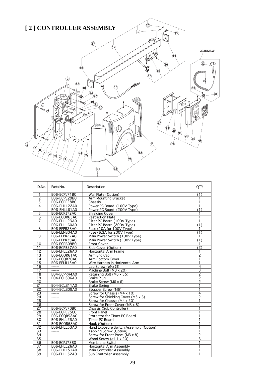

| ID.No.                                                                              | Parts No.                                                                           | Description                                                                                                                                                                                                                              | QTY                                |
|-------------------------------------------------------------------------------------|-------------------------------------------------------------------------------------|------------------------------------------------------------------------------------------------------------------------------------------------------------------------------------------------------------------------------------------|------------------------------------|
| 1                                                                                   | E06-ECPJ71B0                                                                        | Wall Plate (Option)                                                                                                                                                                                                                      | (1)                                |
| $\overline{2}$                                                                      | E06-ECPE29B0                                                                        | <b>Arm Mounting Bracket</b>                                                                                                                                                                                                              |                                    |
| $\overline{3}$                                                                      | E06-ECPE28B0                                                                        | Chassis                                                                                                                                                                                                                                  |                                    |
| 4                                                                                   | E06-EHLL22A0                                                                        | Power PC Board (100V Type)                                                                                                                                                                                                               | 1                                  |
|                                                                                     | E06-EHLL61A0                                                                        | Power PC Board (200V Type)                                                                                                                                                                                                               | $\overline{(1)}$                   |
| 5                                                                                   | E06-ECPJ72A0                                                                        | Shielding Cover                                                                                                                                                                                                                          |                                    |
| 6                                                                                   | E06-ECOR63A0                                                                        | <b>Restriction Plate</b>                                                                                                                                                                                                                 | 1                                  |
| 7                                                                                   | E06-EHLL23A0                                                                        | Filter PC Board (100V Type)                                                                                                                                                                                                              | 1                                  |
|                                                                                     | E06-EHLL60A0                                                                        | Filter PC Board (200V Type)                                                                                                                                                                                                              | (1)                                |
| 8                                                                                   | E06-EFPR28A0                                                                        | Fuse (10A for 100V Type)                                                                                                                                                                                                                 | 1                                  |
|                                                                                     | E06-EENS04A0                                                                        | Fuse (6.3A for 200V Type)                                                                                                                                                                                                                | $\overline{(1)}$                   |
| 9                                                                                   | E06-EFPR27A0                                                                        | Main Power Switch (100V Type)                                                                                                                                                                                                            | 1                                  |
|                                                                                     | E06-EFPR39A0                                                                        | Main Power Switch (200V Type)                                                                                                                                                                                                            | $\overline{1}$                     |
| 10                                                                                  | E06-ECPB09B0                                                                        | <b>Front Cover</b>                                                                                                                                                                                                                       |                                    |
| 11                                                                                  | E06-ECPE27A0                                                                        | Side Cover (Option)                                                                                                                                                                                                                      | $\overline{(2)}$                   |
| $\overline{12}$                                                                     | E06-EHLL26A0                                                                        | <b>Horizontal Arm Frame</b>                                                                                                                                                                                                              | 1                                  |
| 13                                                                                  | E06-ECOR61A0                                                                        | Arm End Cap                                                                                                                                                                                                                              | $\overline{2}$                     |
| 14                                                                                  | E06-ECOR70A0                                                                        | Arm Bottom Cover                                                                                                                                                                                                                         | 1                                  |
| $\overline{15}$                                                                     | E06-EFLR13A0                                                                        | Wire Harness In Horizontal Arm                                                                                                                                                                                                           | 1                                  |
| 16                                                                                  |                                                                                     | Lag Screw $(69 \times 75)$                                                                                                                                                                                                               | 4                                  |
| 17                                                                                  |                                                                                     | Machine Bolt (M8 x 20)                                                                                                                                                                                                                   | $\overline{3}$                     |
| $\overline{18}$                                                                     | E04-ECPR44A0                                                                        | Retaining Bolt (M6 x 35)                                                                                                                                                                                                                 | $\overline{2}$                     |
| 19                                                                                  | E04-ECLS06A0                                                                        | <b>Brake Plug</b>                                                                                                                                                                                                                        | 2                                  |
| 20                                                                                  |                                                                                     | Brake Screw (M6 x 6)                                                                                                                                                                                                                     | $\overline{\phantom{a}}$           |
| $\overline{21}$                                                                     | E04-ECLS11A0                                                                        | <b>Brake Spring</b>                                                                                                                                                                                                                      |                                    |
| $\overline{22}$                                                                     | E04-ECLS09A0                                                                        | Stopper Screw (M6)                                                                                                                                                                                                                       | 1                                  |
| $\overline{23}$                                                                     |                                                                                     | Screw for Chassis (M4 x 10)                                                                                                                                                                                                              | $\overline{4}$                     |
| $\overline{24}$                                                                     |                                                                                     | Screw for Shielding Cover (M3 x 6)                                                                                                                                                                                                       | $\overline{\mathcal{L}}$           |
| $\overline{25}$                                                                     |                                                                                     | Screw for Chassis (M4 x 20)                                                                                                                                                                                                              |                                    |
| $\overline{26}$                                                                     |                                                                                     | Screw for Front Cover (M3 x 8)                                                                                                                                                                                                           | 4                                  |
| $\overline{27}$                                                                     | E06-ECPJ70B0                                                                        | Chassis (Sub Controller)                                                                                                                                                                                                                 | 1                                  |
| $\overline{28}$                                                                     | E06-ECPE25C0                                                                        | <b>Front Panel</b>                                                                                                                                                                                                                       |                                    |
| 29                                                                                  | E06-ECOR58A0                                                                        | Protector for Timer PC Board                                                                                                                                                                                                             | 1                                  |
| 30                                                                                  | E06-EHLL25A0                                                                        | Timer PC Board                                                                                                                                                                                                                           |                                    |
| 31                                                                                  | E06-ECQR68A0                                                                        | Hook (Option)                                                                                                                                                                                                                            |                                    |
|                                                                                     |                                                                                     |                                                                                                                                                                                                                                          | 1                                  |
|                                                                                     |                                                                                     |                                                                                                                                                                                                                                          |                                    |
|                                                                                     | $---$                                                                               |                                                                                                                                                                                                                                          |                                    |
|                                                                                     | $- - - - - -$                                                                       |                                                                                                                                                                                                                                          |                                    |
|                                                                                     |                                                                                     |                                                                                                                                                                                                                                          |                                    |
|                                                                                     |                                                                                     |                                                                                                                                                                                                                                          |                                    |
|                                                                                     |                                                                                     |                                                                                                                                                                                                                                          |                                    |
|                                                                                     |                                                                                     |                                                                                                                                                                                                                                          |                                    |
| 32<br>$\overline{33}$<br>$\overline{34}$<br>35<br>36<br>$\overline{37}$<br>38<br>39 | E06-EHLL53A0<br>E06-ECPJ73B0<br><b>E06-EHLL26A0</b><br>E06-EHLL51A0<br>E06-EHLL52A0 | Hand Exposure Switch Assembly (Option)<br>Tapping Screw (Option)<br>Screw for Front Panel (M3 x 8)<br>Wood Screw $(64.1 \times 20)$<br>Membrane Switch<br>Horizontal Arm Assembly<br>Main Controller Assembly<br>Sub Controller Assembly | 1<br>$\overline{2}$<br>3<br>1<br>1 |